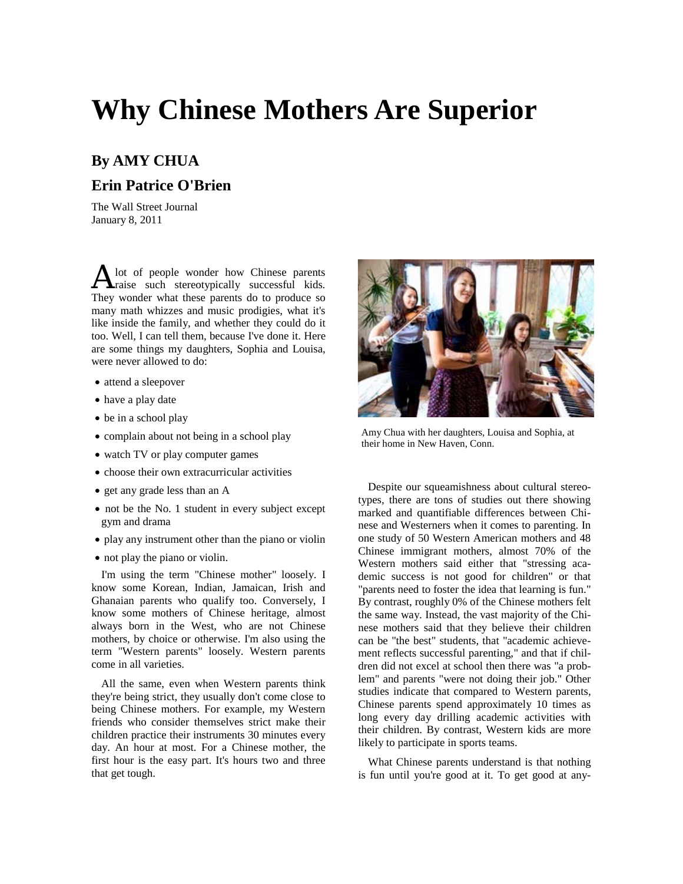# **Why Chinese Mothers Are Superior**

# **By AMY CHUA Erin Patrice O'Brien**

The Wall Street Journal January 8, 2011

A lot of people wonder how Chinese parents<br>
raise such stereotypically successful kids. They wonder what these parents do to produce so many math whizzes and music prodigies, what it's like inside the family, and whether they could do it too. Well, I can tell them, because I've done it. Here are some things my daughters, Sophia and Louisa, were never allowed to do:

- attend a sleepover
- have a play date
- be in a school play
- complain about not being in a school play
- watch TV or play computer games
- choose their own extracurricular activities
- get any grade less than an A
- not be the No. 1 student in every subject except gym and drama
- play any instrument other than the piano or violin
- not play the piano or violin.

I'm using the term "Chinese mother" loosely. I know some Korean, Indian, Jamaican, Irish and Ghanaian parents who qualify too. Conversely, I know some mothers of Chinese heritage, almost always born in the West, who are not Chinese mothers, by choice or otherwise. I'm also using the term "Western parents" loosely. Western parents come in all varieties.

All the same, even when Western parents think they're being strict, they usually don't come close to being Chinese mothers. For example, my Western friends who consider themselves strict make their children practice their instruments 30 minutes every day. An hour at most. For a Chinese mother, the first hour is the easy part. It's hours two and three that get tough.



Amy Chua with her daughters, Louisa and Sophia, at their home in New Haven, Conn.

Despite our squeamishness about cultural stereotypes, there are tons of studies out there showing marked and quantifiable differences between Chinese and Westerners when it comes to parenting. In one study of 50 Western American mothers and 48 Chinese immigrant mothers, almost 70% of the Western mothers said either that "stressing academic success is not good for children" or that "parents need to foster the idea that learning is fun." By contrast, roughly 0% of the Chinese mothers felt the same way. Instead, the vast majority of the Chinese mothers said that they believe their children can be "the best" students, that "academic achievement reflects successful parenting," and that if children did not excel at school then there was "a problem" and parents "were not doing their job." Other studies indicate that compared to Western parents, Chinese parents spend approximately 10 times as long every day drilling academic activities with their children. By contrast, Western kids are more likely to participate in sports teams.

What Chinese parents understand is that nothing is fun until you're good at it. To get good at any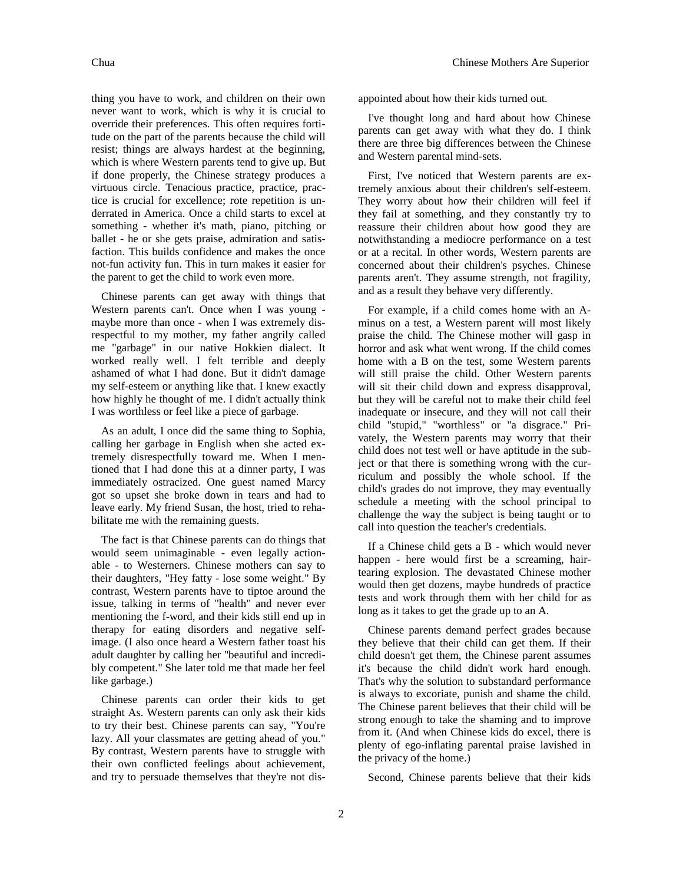thing you have to work, and children on their own never want to work, which is why it is crucial to override their preferences. This often requires fortitude on the part of the parents because the child will resist; things are always hardest at the beginning, which is where Western parents tend to give up. But if done properly, the Chinese strategy produces a virtuous circle. Tenacious practice, practice, practice is crucial for excellence; rote repetition is underrated in America. Once a child starts to excel at something - whether it's math, piano, pitching or ballet - he or she gets praise, admiration and satisfaction. This builds confidence and makes the once not-fun activity fun. This in turn makes it easier for the parent to get the child to work even more.

Chinese parents can get away with things that Western parents can't. Once when I was young maybe more than once - when I was extremely disrespectful to my mother, my father angrily called me "garbage" in our native Hokkien dialect. It worked really well. I felt terrible and deeply ashamed of what I had done. But it didn't damage my self-esteem or anything like that. I knew exactly how highly he thought of me. I didn't actually think I was worthless or feel like a piece of garbage.

As an adult, I once did the same thing to Sophia, calling her garbage in English when she acted extremely disrespectfully toward me. When I mentioned that I had done this at a dinner party, I was immediately ostracized. One guest named Marcy got so upset she broke down in tears and had to leave early. My friend Susan, the host, tried to rehabilitate me with the remaining guests.

The fact is that Chinese parents can do things that would seem unimaginable - even legally actionable - to Westerners. Chinese mothers can say to their daughters, "Hey fatty - lose some weight." By contrast, Western parents have to tiptoe around the issue, talking in terms of "health" and never ever mentioning the f-word, and their kids still end up in therapy for eating disorders and negative selfimage. (I also once heard a Western father toast his adult daughter by calling her "beautiful and incredibly competent." She later told me that made her feel like garbage.)

Chinese parents can order their kids to get straight As. Western parents can only ask their kids to try their best. Chinese parents can say, "You're lazy. All your classmates are getting ahead of you." By contrast, Western parents have to struggle with their own conflicted feelings about achievement, and try to persuade themselves that they're not disappointed about how their kids turned out.

I've thought long and hard about how Chinese parents can get away with what they do. I think there are three big differences between the Chinese and Western parental mind-sets.

First, I've noticed that Western parents are extremely anxious about their children's self-esteem. They worry about how their children will feel if they fail at something, and they constantly try to reassure their children about how good they are notwithstanding a mediocre performance on a test or at a recital. In other words, Western parents are concerned about their children's psyches. Chinese parents aren't. They assume strength, not fragility, and as a result they behave very differently.

For example, if a child comes home with an Aminus on a test, a Western parent will most likely praise the child. The Chinese mother will gasp in horror and ask what went wrong. If the child comes home with a B on the test, some Western parents will still praise the child. Other Western parents will sit their child down and express disapproval, but they will be careful not to make their child feel inadequate or insecure, and they will not call their child "stupid," "worthless" or "a disgrace." Privately, the Western parents may worry that their child does not test well or have aptitude in the subject or that there is something wrong with the curriculum and possibly the whole school. If the child's grades do not improve, they may eventually schedule a meeting with the school principal to challenge the way the subject is being taught or to call into question the teacher's credentials.

If a Chinese child gets a B - which would never happen - here would first be a screaming, hairtearing explosion. The devastated Chinese mother would then get dozens, maybe hundreds of practice tests and work through them with her child for as long as it takes to get the grade up to an A.

Chinese parents demand perfect grades because they believe that their child can get them. If their child doesn't get them, the Chinese parent assumes it's because the child didn't work hard enough. That's why the solution to substandard performance is always to excoriate, punish and shame the child. The Chinese parent believes that their child will be strong enough to take the shaming and to improve from it. (And when Chinese kids do excel, there is plenty of ego-inflating parental praise lavished in the privacy of the home.)

Second, Chinese parents believe that their kids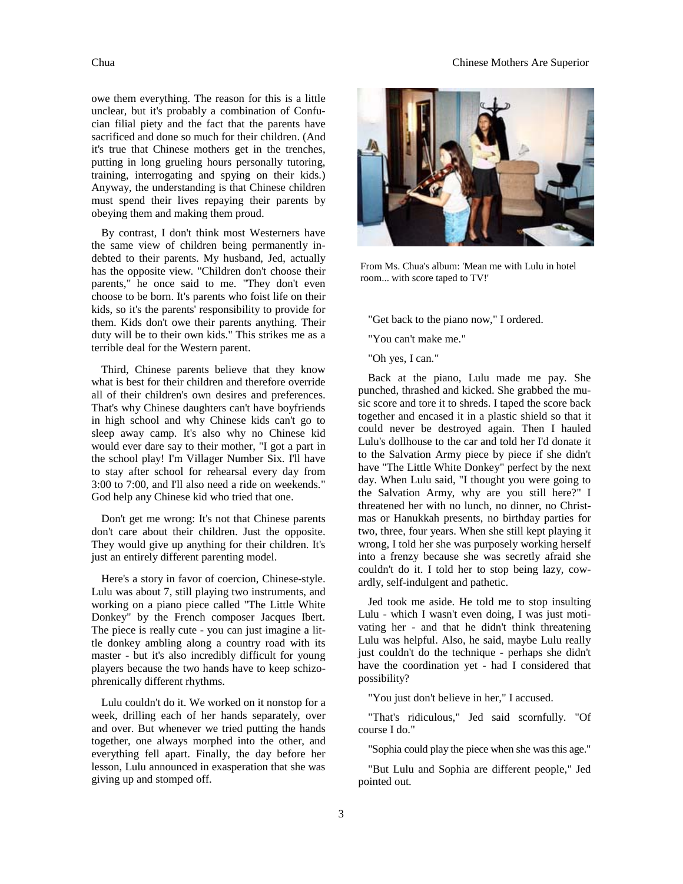Chua Chinese Mothers Are Superior

owe them everything. The reason for this is a little unclear, but it's probably a combination of Confucian filial piety and the fact that the parents have sacrificed and done so much for their children. (And it's true that Chinese mothers get in the trenches, putting in long grueling hours personally tutoring, training, interrogating and spying on their kids.) Anyway, the understanding is that Chinese children must spend their lives repaying their parents by obeying them and making them proud.

By contrast, I don't think most Westerners have the same view of children being permanently indebted to their parents. My husband, Jed, actually has the opposite view. "Children don't choose their parents," he once said to me. "They don't even choose to be born. It's parents who foist life on their kids, so it's the parents' responsibility to provide for them. Kids don't owe their parents anything. Their duty will be to their own kids." This strikes me as a terrible deal for the Western parent.

Third, Chinese parents believe that they know what is best for their children and therefore override all of their children's own desires and preferences. That's why Chinese daughters can't have boyfriends in high school and why Chinese kids can't go to sleep away camp. It's also why no Chinese kid would ever dare say to their mother, "I got a part in the school play! I'm Villager Number Six. I'll have to stay after school for rehearsal every day from 3:00 to 7:00, and I'll also need a ride on weekends." God help any Chinese kid who tried that one.

Don't get me wrong: It's not that Chinese parents don't care about their children. Just the opposite. They would give up anything for their children. It's just an entirely different parenting model.

Here's a story in favor of coercion, Chinese-style. Lulu was about 7, still playing two instruments, and working on a piano piece called "The Little White Donkey" by the French composer Jacques Ibert. The piece is really cute - you can just imagine a little donkey ambling along a country road with its master - but it's also incredibly difficult for young players because the two hands have to keep schizophrenically different rhythms.

Lulu couldn't do it. We worked on it nonstop for a week, drilling each of her hands separately, over and over. But whenever we tried putting the hands together, one always morphed into the other, and everything fell apart. Finally, the day before her lesson, Lulu announced in exasperation that she was giving up and stomped off.



From Ms. Chua's album: 'Mean me with Lulu in hotel room... with score taped to TV!'

"Get back to the piano now," I ordered.

"You can't make me."

"Oh yes, I can."

Back at the piano, Lulu made me pay. She punched, thrashed and kicked. She grabbed the music score and tore it to shreds. I taped the score back together and encased it in a plastic shield so that it could never be destroyed again. Then I hauled Lulu's dollhouse to the car and told her I'd donate it to the Salvation Army piece by piece if she didn't have "The Little White Donkey" perfect by the next day. When Lulu said, "I thought you were going to the Salvation Army, why are you still here?" I threatened her with no lunch, no dinner, no Christmas or Hanukkah presents, no birthday parties for two, three, four years. When she still kept playing it wrong, I told her she was purposely working herself into a frenzy because she was secretly afraid she couldn't do it. I told her to stop being lazy, cowardly, self-indulgent and pathetic.

Jed took me aside. He told me to stop insulting Lulu - which I wasn't even doing, I was just motivating her - and that he didn't think threatening Lulu was helpful. Also, he said, maybe Lulu really just couldn't do the technique - perhaps she didn't have the coordination yet - had I considered that possibility?

"You just don't believe in her," I accused.

"That's ridiculous," Jed said scornfully. "Of course I do."

"Sophia could play the piece when she was this age."

"But Lulu and Sophia are different people," Jed pointed out.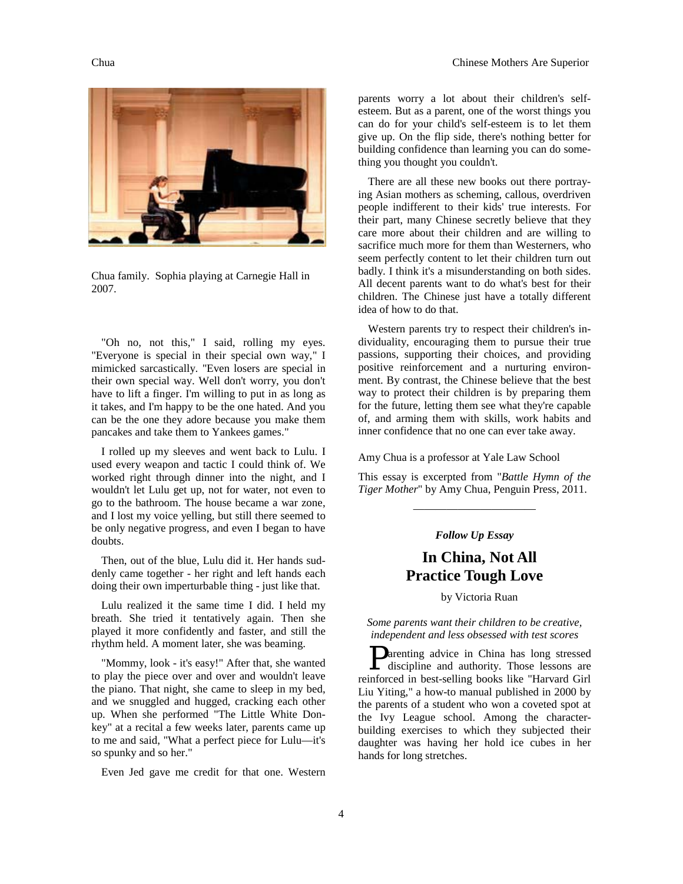

Chua family. Sophia playing at Carnegie Hall in 2007.

"Oh no, not this," I said, rolling my eyes. "Everyone is special in their special own way," I mimicked sarcastically. "Even losers are special in their own special way. Well don't worry, you don't have to lift a finger. I'm willing to put in as long as it takes, and I'm happy to be the one hated. And you can be the one they adore because you make them pancakes and take them to Yankees games."

I rolled up my sleeves and went back to Lulu. I used every weapon and tactic I could think of. We worked right through dinner into the night, and I wouldn't let Lulu get up, not for water, not even to go to the bathroom. The house became a war zone, and I lost my voice yelling, but still there seemed to be only negative progress, and even I began to have doubts.

Then, out of the blue, Lulu did it. Her hands suddenly came together - her right and left hands each doing their own imperturbable thing - just like that.

Lulu realized it the same time I did. I held my breath. She tried it tentatively again. Then she played it more confidently and faster, and still the rhythm held. A moment later, she was beaming.

"Mommy, look - it's easy!" After that, she wanted to play the piece over and over and wouldn't leave the piano. That night, she came to sleep in my bed, and we snuggled and hugged, cracking each other up. When she performed "The Little White Donkey" at a recital a few weeks later, parents came up to me and said, "What a perfect piece for Lulu—it's so spunky and so her."

Even Jed gave me credit for that one. Western

parents worry a lot about their children's selfesteem. But as a parent, one of the worst things you can do for your child's self-esteem is to let them give up. On the flip side, there's nothing better for building confidence than learning you can do something you thought you couldn't.

There are all these new books out there portraying Asian mothers as scheming, callous, overdriven people indifferent to their kids' true interests. For their part, many Chinese secretly believe that they care more about their children and are willing to sacrifice much more for them than Westerners, who seem perfectly content to let their children turn out badly. I think it's a misunderstanding on both sides. All decent parents want to do what's best for their children. The Chinese just have a totally different idea of how to do that.

Western parents try to respect their children's individuality, encouraging them to pursue their true passions, supporting their choices, and providing positive reinforcement and a nurturing environment. By contrast, the Chinese believe that the best way to protect their children is by preparing them for the future, letting them see what they're capable of, and arming them with skills, work habits and inner confidence that no one can ever take away.

Amy Chua is a professor at Yale Law School

This essay is excerpted from "*Battle Hymn of the Tiger Mother*" by Amy Chua, Penguin Press, 2011.

———————————

#### *Follow Up Essay*

# **In China, Not All Practice Tough Love**

#### by Victoria Ruan

*Some parents want their children to be creative, independent and less obsessed with test scores* 

Parenting advice in China has long stressed discipline and authority. Those lessons are reinforced in best-selling books like "Harvard Girl Liu Yiting," a how-to manual published in 2000 by the parents of a student who won a coveted spot at the Ivy League school. Among the characterbuilding exercises to which they subjected their daughter was having her hold ice cubes in her hands for long stretches.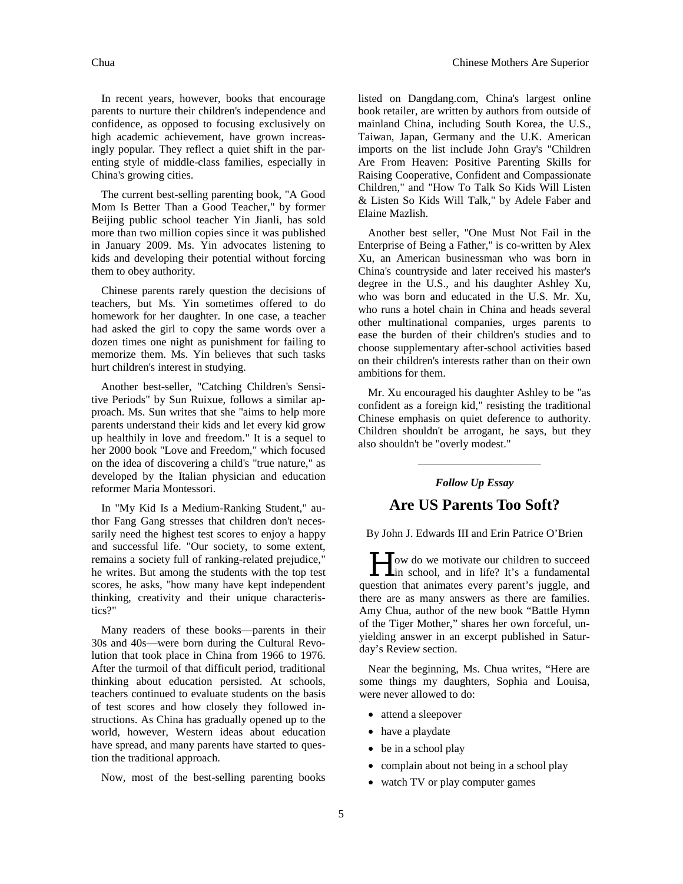In recent years, however, books that encourage parents to nurture their children's independence and confidence, as opposed to focusing exclusively on high academic achievement, have grown increasingly popular. They reflect a quiet shift in the parenting style of middle-class families, especially in China's growing cities.

The current best-selling parenting book, "A Good Mom Is Better Than a Good Teacher," by former Beijing public school teacher Yin Jianli, has sold more than two million copies since it was published in January 2009. Ms. Yin advocates listening to kids and developing their potential without forcing them to obey authority.

Chinese parents rarely question the decisions of teachers, but Ms. Yin sometimes offered to do homework for her daughter. In one case, a teacher had asked the girl to copy the same words over a dozen times one night as punishment for failing to memorize them. Ms. Yin believes that such tasks hurt children's interest in studying.

Another best-seller, "Catching Children's Sensitive Periods" by Sun Ruixue, follows a similar approach. Ms. Sun writes that she "aims to help more parents understand their kids and let every kid grow up healthily in love and freedom." It is a sequel to her 2000 book "Love and Freedom," which focused on the idea of discovering a child's "true nature," as developed by the Italian physician and education reformer Maria Montessori.

In "My Kid Is a Medium-Ranking Student," author Fang Gang stresses that children don't necessarily need the highest test scores to enjoy a happy and successful life. "Our society, to some extent, remains a society full of ranking-related prejudice," he writes. But among the students with the top test scores, he asks, "how many have kept independent thinking, creativity and their unique characteristics?"

Many readers of these books—parents in their 30s and 40s—were born during the Cultural Revolution that took place in China from 1966 to 1976. After the turmoil of that difficult period, traditional thinking about education persisted. At schools, teachers continued to evaluate students on the basis of test scores and how closely they followed instructions. As China has gradually opened up to the world, however, Western ideas about education have spread, and many parents have started to question the traditional approach.

Now, most of the best-selling parenting books

listed on Dangdang.com, China's largest online book retailer, are written by authors from outside of mainland China, including South Korea, the U.S., Taiwan, Japan, Germany and the U.K. American imports on the list include John Gray's "Children Are From Heaven: Positive Parenting Skills for Raising Cooperative, Confident and Compassionate Children," and "How To Talk So Kids Will Listen & Listen So Kids Will Talk," by Adele Faber and Elaine Mazlish.

Another best seller, "One Must Not Fail in the Enterprise of Being a Father," is co-written by Alex Xu, an American businessman who was born in China's countryside and later received his master's degree in the U.S., and his daughter Ashley Xu, who was born and educated in the U.S. Mr. Xu, who runs a hotel chain in China and heads several other multinational companies, urges parents to ease the burden of their children's studies and to choose supplementary after-school activities based on their children's interests rather than on their own ambitions for them.

Mr. Xu encouraged his daughter Ashley to be "as confident as a foreign kid," resisting the traditional Chinese emphasis on quiet deference to authority. Children shouldn't be arrogant, he says, but they also shouldn't be "overly modest."

#### *Follow Up Essay*

———————————

## **Are US Parents Too Soft?**

By John J. Edwards III and Erin Patrice O'Brien

How do we motivate our children to succeed in school, and in life? It's a fundamental question that animates every parent's juggle, and there are as many answers as there are families. Amy Chua, author of the new book "Battle Hymn of the Tiger Mother," shares her own forceful, unyielding answer in an excerpt published in Saturday's Review section.

Near the beginning, Ms. Chua writes, "Here are some things my daughters, Sophia and Louisa, were never allowed to do:

- attend a sleepover
- have a playdate
- be in a school play
- complain about not being in a school play
- watch TV or play computer games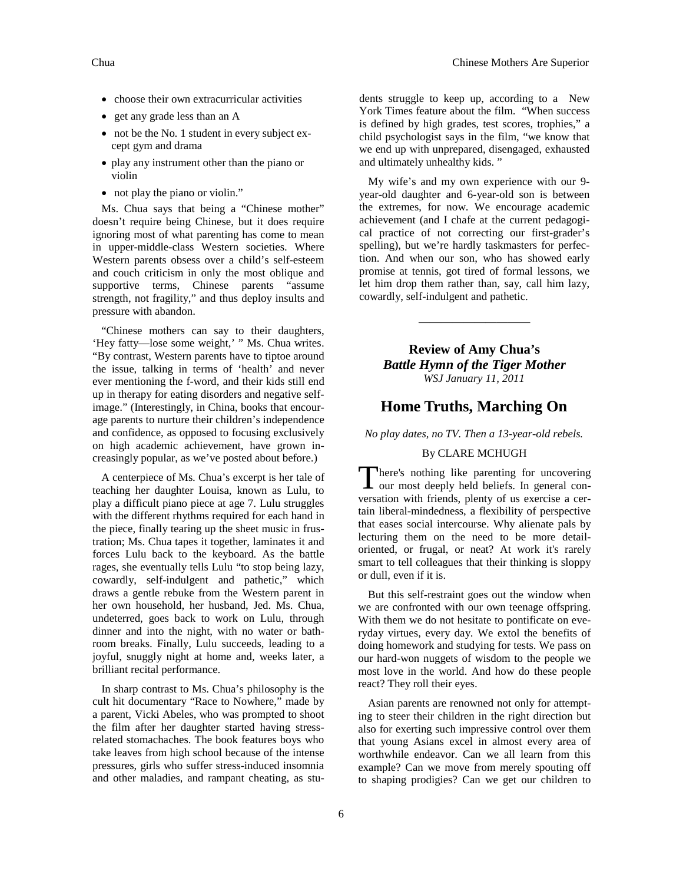- choose their own extracurricular activities
- get any grade less than an A
- not be the No. 1 student in every subject except gym and drama
- play any instrument other than the piano or violin
- not play the piano or violin."

Ms. Chua says that being a "Chinese mother" doesn't require being Chinese, but it does require ignoring most of what parenting has come to mean in upper-middle-class Western societies. Where Western parents obsess over a child's self-esteem and couch criticism in only the most oblique and supportive terms, Chinese parents "assume strength, not fragility," and thus deploy insults and pressure with abandon.

"Chinese mothers can say to their daughters, 'Hey fatty—lose some weight,' " Ms. Chua writes. "By contrast, Western parents have to tiptoe around the issue, talking in terms of 'health' and never ever mentioning the f-word, and their kids still end up in therapy for eating disorders and negative selfimage." (Interestingly, in China, books that encourage parents to nurture their children's independence and confidence, as opposed to focusing exclusively on high academic achievement, have grown increasingly popular, as we've posted about before.)

A centerpiece of Ms. Chua's excerpt is her tale of teaching her daughter Louisa, known as Lulu, to play a difficult piano piece at age 7. Lulu struggles with the different rhythms required for each hand in the piece, finally tearing up the sheet music in frustration; Ms. Chua tapes it together, laminates it and forces Lulu back to the keyboard. As the battle rages, she eventually tells Lulu "to stop being lazy, cowardly, self-indulgent and pathetic," which draws a gentle rebuke from the Western parent in her own household, her husband, Jed. Ms. Chua, undeterred, goes back to work on Lulu, through dinner and into the night, with no water or bathroom breaks. Finally, Lulu succeeds, leading to a joyful, snuggly night at home and, weeks later, a brilliant recital performance.

In sharp contrast to Ms. Chua's philosophy is the cult hit documentary "Race to Nowhere," made by a parent, Vicki Abeles, who was prompted to shoot the film after her daughter started having stressrelated stomachaches. The book features boys who take leaves from high school because of the intense pressures, girls who suffer stress-induced insomnia and other maladies, and rampant cheating, as students struggle to keep up, according to a New York Times feature about the film. "When success is defined by high grades, test scores, trophies," a child psychologist says in the film, "we know that we end up with unprepared, disengaged, exhausted and ultimately unhealthy kids. "

My wife's and my own experience with our 9 year-old daughter and 6-year-old son is between the extremes, for now. We encourage academic achievement (and I chafe at the current pedagogical practice of not correcting our first-grader's spelling), but we're hardly taskmasters for perfection. And when our son, who has showed early promise at tennis, got tired of formal lessons, we let him drop them rather than, say, call him lazy, cowardly, self-indulgent and pathetic.

> **Review of Amy Chua's**  *Battle Hymn of the Tiger Mother WSJ January 11, 2011*

——————————

## **Home Truths, Marching On**

*No play dates, no TV. Then a 13-year-old rebels.* 

#### By CLARE MCHUGH

There's nothing like parenting for uncovering our most deeply held beliefs. In general conversation with friends, plenty of us exercise a certain liberal-mindedness, a flexibility of perspective that eases social intercourse. Why alienate pals by lecturing them on the need to be more detailoriented, or frugal, or neat? At work it's rarely smart to tell colleagues that their thinking is sloppy or dull, even if it is.

But this self-restraint goes out the window when we are confronted with our own teenage offspring. With them we do not hesitate to pontificate on everyday virtues, every day. We extol the benefits of doing homework and studying for tests. We pass on our hard-won nuggets of wisdom to the people we most love in the world. And how do these people react? They roll their eyes.

Asian parents are renowned not only for attempting to steer their children in the right direction but also for exerting such impressive control over them that young Asians excel in almost every area of worthwhile endeavor. Can we all learn from this example? Can we move from merely spouting off to shaping prodigies? Can we get our children to